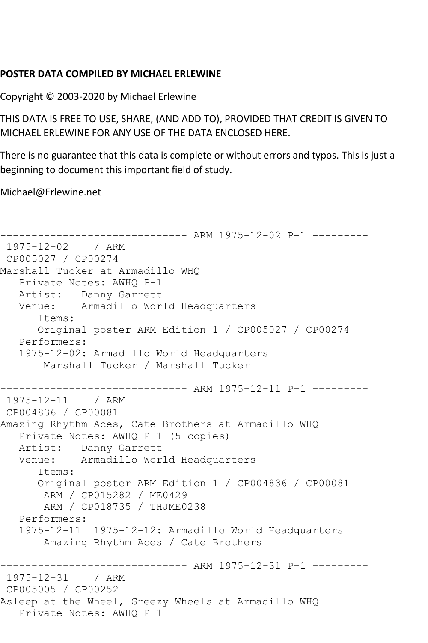## **POSTER DATA COMPILED BY MICHAEL ERLEWINE**

Copyright © 2003-2020 by Michael Erlewine

THIS DATA IS FREE TO USE, SHARE, (AND ADD TO), PROVIDED THAT CREDIT IS GIVEN TO MICHAEL ERLEWINE FOR ANY USE OF THE DATA ENCLOSED HERE.

There is no guarantee that this data is complete or without errors and typos. This is just a beginning to document this important field of study.

Michael@Erlewine.net

```
------------------------------ ARM 1975-12-02 P-1 ---------
1975-12-02 / ARM 
CP005027 / CP00274
Marshall Tucker at Armadillo WHQ
   Private Notes: AWHQ P-1
   Artist: Danny Garrett
   Venue: Armadillo World Headquarters
      Items:
      Original poster ARM Edition 1 / CP005027 / CP00274
   Performers:
   1975-12-02: Armadillo World Headquarters
       Marshall Tucker / Marshall Tucker
         ------------------------------ ARM 1975-12-11 P-1 ---------
1975-12-11 / ARM 
CP004836 / CP00081
Amazing Rhythm Aces, Cate Brothers at Armadillo WHQ
   Private Notes: AWHQ P-1 (5-copies)
   Artist: Danny Garrett
   Venue: Armadillo World Headquarters
      Items:
      Original poster ARM Edition 1 / CP004836 / CP00081
       ARM / CP015282 / ME0429
       ARM / CP018735 / THJME0238
   Performers:
   1975-12-11 1975-12-12: Armadillo World Headquarters
       Amazing Rhythm Aces / Cate Brothers
------------------------------ ARM 1975-12-31 P-1 ---------
1975-12-31 / ARM 
CP005005 / CP00252
Asleep at the Wheel, Greezy Wheels at Armadillo WHQ
   Private Notes: AWHQ P-1
```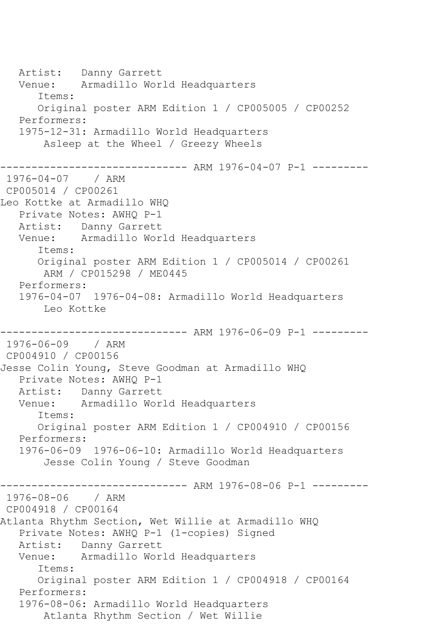Artist: Danny Garrett Venue: Armadillo World Headquarters Items: Original poster ARM Edition 1 / CP005005 / CP00252 Performers: 1975-12-31: Armadillo World Headquarters Asleep at the Wheel / Greezy Wheels ------------------------------ ARM 1976-04-07 P-1 --------- 1976-04-07 / ARM CP005014 / CP00261 Leo Kottke at Armadillo WHQ Private Notes: AWHQ P-1 Artist: Danny Garrett Venue: Armadillo World Headquarters Items: Original poster ARM Edition 1 / CP005014 / CP00261 ARM / CP015298 / ME0445 Performers: 1976-04-07 1976-04-08: Armadillo World Headquarters Leo Kottke ------------------------------ ARM 1976-06-09 P-1 --------- 1976-06-09 / ARM CP004910 / CP00156 Jesse Colin Young, Steve Goodman at Armadillo WHQ Private Notes: AWHQ P-1 Artist: Danny Garrett Venue: Armadillo World Headquarters Items: Original poster ARM Edition 1 / CP004910 / CP00156 Performers: 1976-06-09 1976-06-10: Armadillo World Headquarters Jesse Colin Young / Steve Goodman ------------------------------ ARM 1976-08-06 P-1 --------- 1976-08-06 / ARM CP004918 / CP00164 Atlanta Rhythm Section, Wet Willie at Armadillo WHQ Private Notes: AWHQ P-1 (1-copies) Signed Artist: Danny Garrett<br>Venue: Armadillo Wor Armadillo World Headquarters Items: Original poster ARM Edition 1 / CP004918 / CP00164 Performers: 1976-08-06: Armadillo World Headquarters Atlanta Rhythm Section / Wet Willie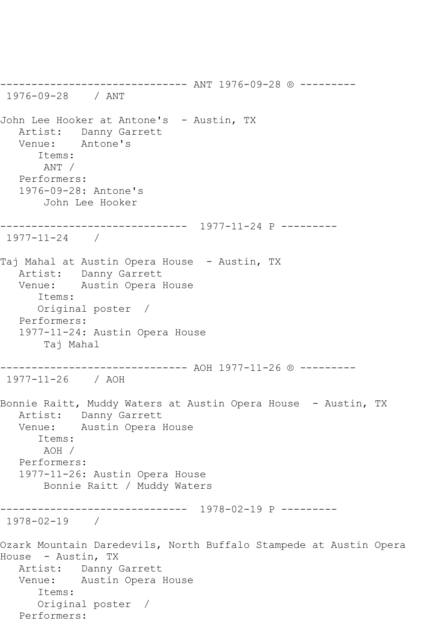------------------------------ ANT 1976-09-28 ® --------- 1976-09-28 / ANT John Lee Hooker at Antone's - Austin, TX Artist: Danny Garrett Venue: Antone's Items: ANT / Performers: 1976-09-28: Antone's John Lee Hooker ------------------------------ 1977-11-24 P --------- 1977-11-24 / Taj Mahal at Austin Opera House - Austin, TX Artist: Danny Garrett Venue: Austin Opera House Items: Original poster / Performers: 1977-11-24: Austin Opera House Taj Mahal ------------------------------ AOH 1977-11-26 ® --------- 1977-11-26 / AOH Bonnie Raitt, Muddy Waters at Austin Opera House - Austin, TX Artist: Danny Garrett Venue: Austin Opera House Items: AOH / Performers: 1977-11-26: Austin Opera House Bonnie Raitt / Muddy Waters ------------------------------ 1978-02-19 P --------- 1978-02-19 / Ozark Mountain Daredevils, North Buffalo Stampede at Austin Opera House - Austin, TX Artist: Danny Garrett Venue: Austin Opera House Items: Original poster / Performers: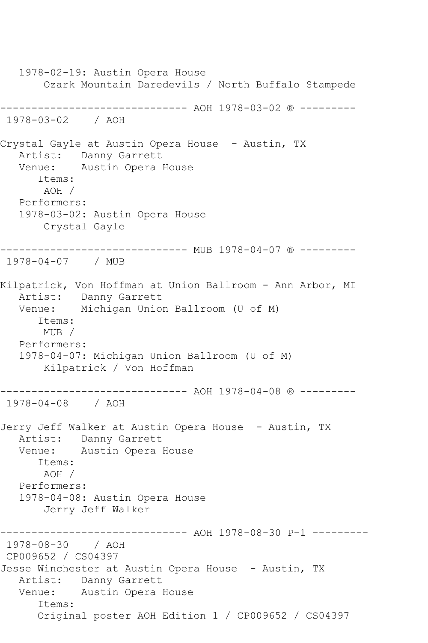1978-02-19: Austin Opera House Ozark Mountain Daredevils / North Buffalo Stampede ------------------------------ AOH 1978-03-02 ® --------- 1978-03-02 / AOH Crystal Gayle at Austin Opera House - Austin, TX Artist: Danny Garrett Venue: Austin Opera House Items: AOH / Performers: 1978-03-02: Austin Opera House Crystal Gayle ------------------------------ MUB 1978-04-07 ® --------- 1978-04-07 / MUB Kilpatrick, Von Hoffman at Union Ballroom - Ann Arbor, MI Artist: Danny Garrett Venue: Michigan Union Ballroom (U of M) Items: MUB / Performers: 1978-04-07: Michigan Union Ballroom (U of M) Kilpatrick / Von Hoffman ------------------------------ AOH 1978-04-08 ® --------- 1978-04-08 / AOH Jerry Jeff Walker at Austin Opera House - Austin, TX Artist: Danny Garrett Venue: Austin Opera House Items: AOH / Performers: 1978-04-08: Austin Opera House Jerry Jeff Walker ------------------------------ AOH 1978-08-30 P-1 --------- 1978-08-30 / AOH CP009652 / CS04397 Jesse Winchester at Austin Opera House - Austin, TX Artist: Danny Garrett Venue: Austin Opera House Items: Original poster AOH Edition 1 / CP009652 / CS04397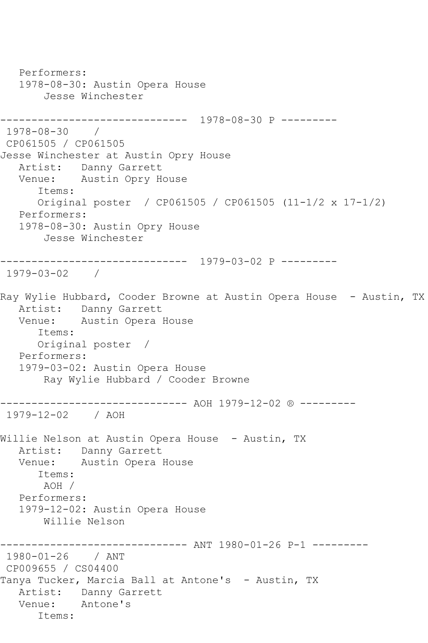Performers: 1978-08-30: Austin Opera House Jesse Winchester ------------------------------ 1978-08-30 P --------- 1978-08-30 / CP061505 / CP061505 Jesse Winchester at Austin Opry House Artist: Danny Garrett Venue: Austin Opry House Items: Original poster / CP061505 / CP061505 (11-1/2 x 17-1/2) Performers: 1978-08-30: Austin Opry House Jesse Winchester ------------------------------ 1979-03-02 P --------- 1979-03-02 / Ray Wylie Hubbard, Cooder Browne at Austin Opera House - Austin, TX Artist: Danny Garrett Venue: Austin Opera House Items: Original poster / Performers: 1979-03-02: Austin Opera House Ray Wylie Hubbard / Cooder Browne ------------------------------ AOH 1979-12-02 ® --------- 1979-12-02 / AOH Willie Nelson at Austin Opera House - Austin, TX Artist: Danny Garrett Venue: Austin Opera House Items: AOH / Performers: 1979-12-02: Austin Opera House Willie Nelson ----------- ANT 1980-01-26 P-1 ---------1980-01-26 / ANT CP009655 / CS04400 Tanya Tucker, Marcia Ball at Antone's - Austin, TX Artist: Danny Garrett Venue: Antone's Items: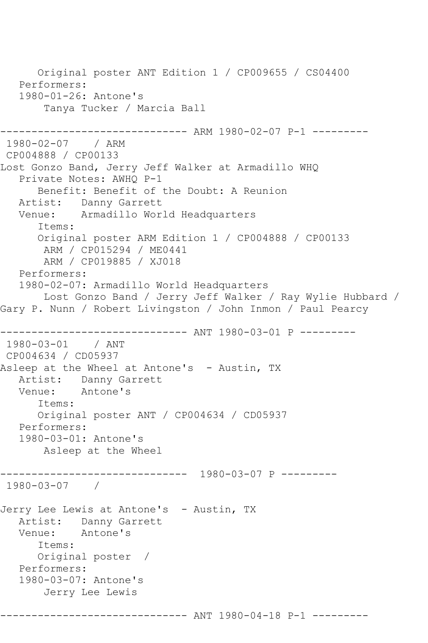Original poster ANT Edition 1 / CP009655 / CS04400 Performers: 1980-01-26: Antone's Tanya Tucker / Marcia Ball ------------------------------ ARM 1980-02-07 P-1 --------- 1980-02-07 / ARM CP004888 / CP00133 Lost Gonzo Band, Jerry Jeff Walker at Armadillo WHQ Private Notes: AWHQ P-1 Benefit: Benefit of the Doubt: A Reunion Artist: Danny Garrett Venue: Armadillo World Headquarters Items: Original poster ARM Edition 1 / CP004888 / CP00133 ARM / CP015294 / ME0441 ARM / CP019885 / XJ018 Performers: 1980-02-07: Armadillo World Headquarters Lost Gonzo Band / Jerry Jeff Walker / Ray Wylie Hubbard / Gary P. Nunn / Robert Livingston / John Inmon / Paul Pearcy ------------------------------ ANT 1980-03-01 P --------- 1980-03-01 / ANT CP004634 / CD05937 Asleep at the Wheel at Antone's - Austin, TX Artist: Danny Garrett Venue: Antone's Items: Original poster ANT / CP004634 / CD05937 Performers: 1980-03-01: Antone's Asleep at the Wheel ------------------------------ 1980-03-07 P --------- 1980-03-07 / Jerry Lee Lewis at Antone's - Austin, TX Artist: Danny Garrett<br>Venue: Antone's Antone's Items: Original poster / Performers: 1980-03-07: Antone's Jerry Lee Lewis ------------------------------ ANT 1980-04-18 P-1 ---------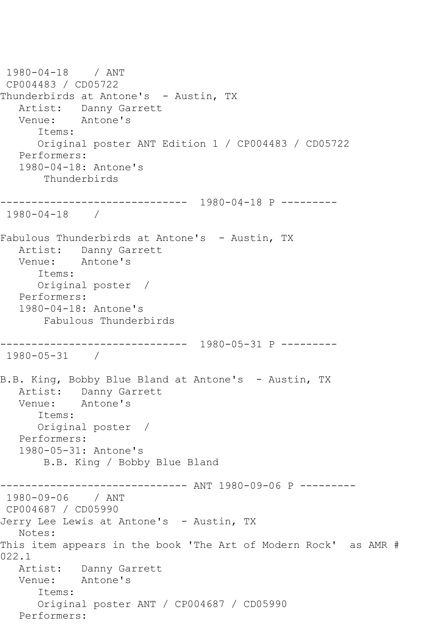```
1980-04-18 / ANT 
CP004483 / CD05722
Thunderbirds at Antone's - Austin, TX
  Artist: Danny Garrett<br>Venue: Antone's
           Antone's
       Items:
      Original poster ANT Edition 1 / CP004483 / CD05722
   Performers:
   1980-04-18: Antone's
       Thunderbirds
------------------------------ 1980-04-18 P ---------
1980-04-18 / 
Fabulous Thunderbirds at Antone's - Austin, TX
   Artist: Danny Garrett
   Venue: Antone's
       Items:
      Original poster / 
   Performers:
   1980-04-18: Antone's
        Fabulous Thunderbirds
------------------------------ 1980-05-31 P ---------
1980-05-31 / 
B.B. King, Bobby Blue Bland at Antone's - Austin, TX
   Artist: Danny Garrett
   Venue: Antone's
      Items:
      Original poster / 
   Performers:
   1980-05-31: Antone's
        B.B. King / Bobby Blue Bland
------------------------------ ANT 1980-09-06 P ---------
1980-09-06 / ANT 
CP004687 / CD05990
Jerry Lee Lewis at Antone's - Austin, TX
   Notes: 
This item appears in the book 'The Art of Modern Rock' as AMR # 
022.1
   Artist: Danny Garrett
   Venue: Antone's
       Items:
       Original poster ANT / CP004687 / CD05990
   Performers:
```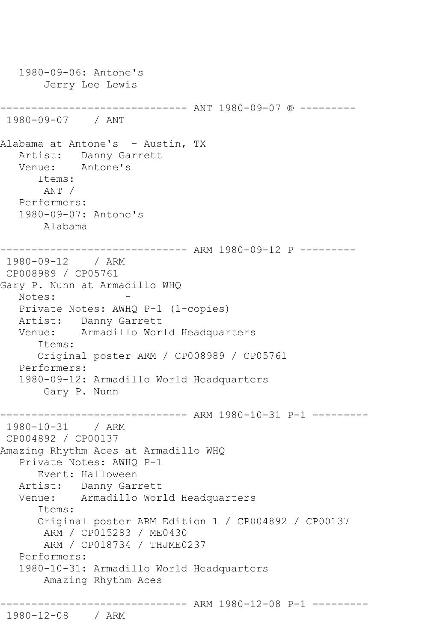```
 1980-09-06: Antone's
        Jerry Lee Lewis
 ------------------------------ ANT 1980-09-07 ® ---------
1980-09-07 / ANT 
Alabama at Antone's - Austin, TX
   Artist: Danny Garrett
   Venue: Antone's
       Items:
       ANT / 
   Performers:
    1980-09-07: Antone's
        Alabama
                    ------------------------------ ARM 1980-09-12 P ---------
1980-09-12 / ARM 
CP008989 / CP05761
Gary P. Nunn at Armadillo WHQ
  Notes:
   Private Notes: AWHQ P-1 (1-copies)
   Artist: Danny Garrett
   Venue: Armadillo World Headquarters
       Items:
       Original poster ARM / CP008989 / CP05761
   Performers:
    1980-09-12: Armadillo World Headquarters
        Gary P. Nunn
------------------------------ ARM 1980-10-31 P-1 ---------
1980-10-31 / ARM 
CP004892 / CP00137
Amazing Rhythm Aces at Armadillo WHQ
    Private Notes: AWHQ P-1
       Event: Halloween
   Artist: Danny Garrett
   Venue: Armadillo World Headquarters
       Items:
       Original poster ARM Edition 1 / CP004892 / CP00137
        ARM / CP015283 / ME0430
        ARM / CP018734 / THJME0237
    Performers:
    1980-10-31: Armadillo World Headquarters
        Amazing Rhythm Aces
------------------------------ ARM 1980-12-08 P-1 ---------
1980-12-08 / ARM
```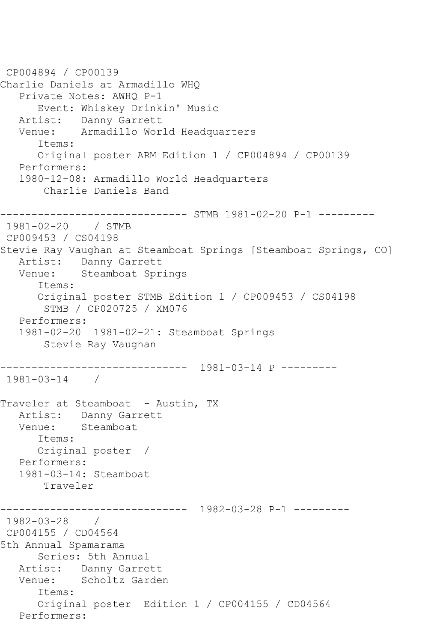```
CP004894 / CP00139
Charlie Daniels at Armadillo WHQ
    Private Notes: AWHQ P-1
       Event: Whiskey Drinkin' Music
    Artist: Danny Garrett
    Venue: Armadillo World Headquarters
       Items:
       Original poster ARM Edition 1 / CP004894 / CP00139
    Performers:
    1980-12-08: Armadillo World Headquarters
        Charlie Daniels Band
------------------------------ STMB 1981-02-20 P-1 ---------
1981-02-20 / STMB 
CP009453 / CS04198
Stevie Ray Vaughan at Steamboat Springs [Steamboat Springs, CO]
   Artist: Danny Garrett<br>Venue: Steamboat Spr
            Steamboat Springs
       Items:
       Original poster STMB Edition 1 / CP009453 / CS04198
        STMB / CP020725 / XM076
    Performers:
    1981-02-20 1981-02-21: Steamboat Springs
        Stevie Ray Vaughan
    ------------------------------ 1981-03-14 P ---------
1981-03-14 / 
Traveler at Steamboat - Austin, TX
  Artist: Danny Garrett<br>Venue: Steamboat
            Steamboat
       Items:
       Original poster / 
    Performers:
    1981-03-14: Steamboat
        Traveler
                   ------------------------------ 1982-03-28 P-1 ---------
1982-03-28 / 
CP004155 / CD04564
5th Annual Spamarama
       Series: 5th Annual
  Artist: Danny Garrett<br>Venue: Scholtz Garde
            Scholtz Garden
       Items:
       Original poster Edition 1 / CP004155 / CD04564
   Performers:
```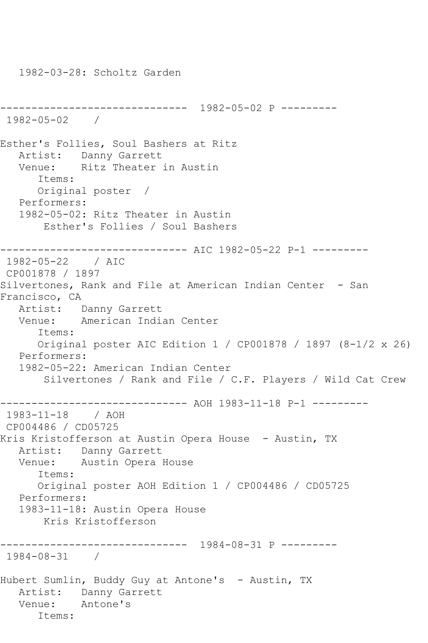------------------------------ 1982-05-02 P --------- 1982-05-02 / Esther's Follies, Soul Bashers at Ritz Artist: Danny Garrett Venue: Ritz Theater in Austin Items: Original poster / Performers: 1982-05-02: Ritz Theater in Austin Esther's Follies / Soul Bashers ------------------------------ AIC 1982-05-22 P-1 --------- 1982-05-22 / AIC CP001878 / 1897 Silvertones, Rank and File at American Indian Center - San Francisco, CA Artist: Danny Garrett Venue: American Indian Center Items: Original poster AIC Edition 1 / CP001878 / 1897 (8-1/2 x 26) Performers: 1982-05-22: American Indian Center Silvertones / Rank and File / C.F. Players / Wild Cat Crew ------------------------------ AOH 1983-11-18 P-1 --------- 1983-11-18 / AOH CP004486 / CD05725 Kris Kristofferson at Austin Opera House – Austin, TX Artist: Danny Garrett<br>Venue: Austin Opera Austin Opera House Items: Original poster AOH Edition 1 / CP004486 / CD05725 Performers: 1983-11-18: Austin Opera House Kris Kristofferson ------------------------------ 1984-08-31 P --------- 1984-08-31 / Hubert Sumlin, Buddy Guy at Antone's - Austin, TX Artist: Danny Garrett Venue: Antone's Items:

1982-03-28: Scholtz Garden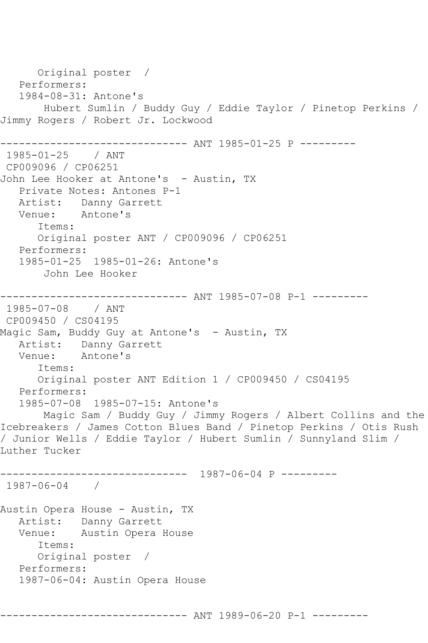Original poster / Performers: 1984-08-31: Antone's Hubert Sumlin / Buddy Guy / Eddie Taylor / Pinetop Perkins / Jimmy Rogers / Robert Jr. Lockwood ------------------------------ ANT 1985-01-25 P --------- 1985-01-25 / ANT CP009096 / CP06251 John Lee Hooker at Antone's - Austin, TX Private Notes: Antones P-1 Artist: Danny Garrett<br>Venue: Antone's Venue: Items: Original poster ANT / CP009096 / CP06251 Performers: 1985-01-25 1985-01-26: Antone's John Lee Hooker ------------------------------ ANT 1985-07-08 P-1 --------- 1985-07-08 / ANT CP009450 / CS04195 Magic Sam, Buddy Guy at Antone's - Austin, TX Artist: Danny Garrett Venue: Antone's Items: Original poster ANT Edition 1 / CP009450 / CS04195 Performers: 1985-07-08 1985-07-15: Antone's Magic Sam / Buddy Guy / Jimmy Rogers / Albert Collins and the Icebreakers / James Cotton Blues Band / Pinetop Perkins / Otis Rush / Junior Wells / Eddie Taylor / Hubert Sumlin / Sunnyland Slim / Luther Tucker ------------------------------ 1987-06-04 P --------- 1987-06-04 / Austin Opera House - Austin, TX Artist: Danny Garrett<br>Venue: Austin Opera Austin Opera House Items: Original poster / Performers: 1987-06-04: Austin Opera House ------------------------------ ANT 1989-06-20 P-1 ---------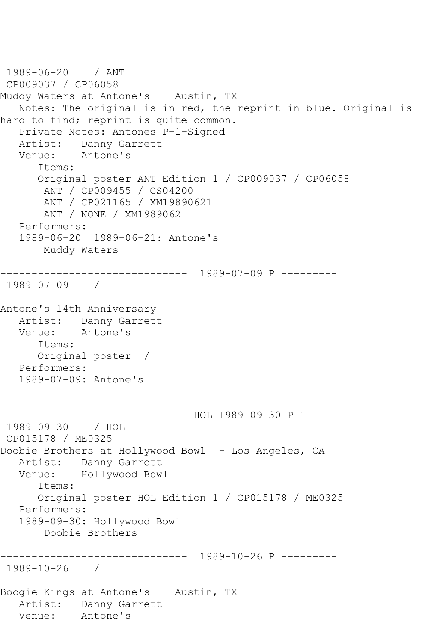```
1989-06-20 / ANT 
CP009037 / CP06058
Muddy Waters at Antone's - Austin, TX
   Notes: The original is in red, the reprint in blue. Original is 
hard to find; reprint is quite common.
   Private Notes: Antones P-1-Signed
  Artist: Danny Garrett<br>Venue: Antone's
           Antone's
       Items:
      Original poster ANT Edition 1 / CP009037 / CP06058
       ANT / CP009455 / CS04200
       ANT / CP021165 / XM19890621
       ANT / NONE / XM1989062
   Performers:
   1989-06-20 1989-06-21: Antone's
       Muddy Waters
------------------------------ 1989-07-09 P ---------
1989-07-09 / 
Antone's 14th Anniversary
   Artist: Danny Garrett
   Venue: Antone's
      Items:
      Original poster / 
   Performers:
   1989-07-09: Antone's
------------------------------ HOL 1989-09-30 P-1 ---------
1989-09-30 / HOL 
CP015178 / ME0325
Doobie Brothers at Hollywood Bowl - Los Angeles, CA
   Artist: Danny Garrett
   Venue: Hollywood Bowl
      Items:
      Original poster HOL Edition 1 / CP015178 / ME0325
   Performers:
   1989-09-30: Hollywood Bowl
       Doobie Brothers
 ------------------------------ 1989-10-26 P ---------
1989-10-26 / 
Boogie Kings at Antone's - Austin, TX
   Artist: Danny Garrett
   Venue: Antone's
```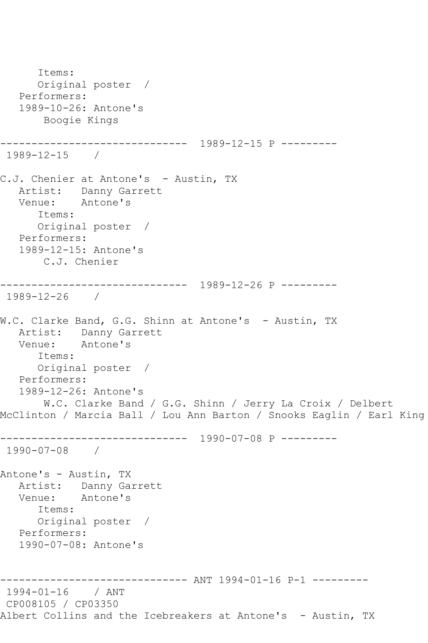```
 Items:
       Original poster / 
    Performers:
    1989-10-26: Antone's
        Boogie Kings
------------------------------ 1989-12-15 P ---------
1989-12-15 / 
C.J. Chenier at Antone's - Austin, TX
 Artist: Danny Garrett
 Venue: Antone's
       Items:
       Original poster / 
   Performers:
    1989-12-15: Antone's
       C.J. Chenier
      ------------------------------ 1989-12-26 P ---------
1989-12-26 / 
W.C. Clarke Band, G.G. Shinn at Antone's - Austin, TX
  Artist: Danny Garrett<br>Venue: Antone's
           Antone's
       Items:
       Original poster / 
   Performers:
    1989-12-26: Antone's
       W.C. Clarke Band / G.G. Shinn / Jerry La Croix / Delbert 
McClinton / Marcia Ball / Lou Ann Barton / Snooks Eaglin / Earl King
    ------------------------------ 1990-07-08 P ---------
1990-07-08 / 
Antone's - Austin, TX
  Artist: Danny Garrett<br>Venue: Antone's
            Antone's
       Items:
      Original poster / 
   Performers:
    1990-07-08: Antone's
------------------------------ ANT 1994-01-16 P-1 ---------
1994-01-16 / ANT 
CP008105 / CP03350
Albert Collins and the Icebreakers at Antone's - Austin, TX
```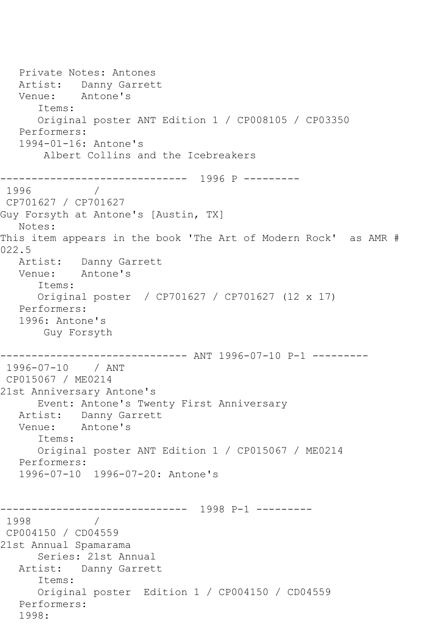Private Notes: Antones Artist: Danny Garrett Venue: Antone's Items: Original poster ANT Edition 1 / CP008105 / CP03350 Performers: 1994-01-16: Antone's Albert Collins and the Icebreakers ------------------------------ 1996 P --------- 1996 / CP701627 / CP701627 Guy Forsyth at Antone's [Austin, TX] Notes: This item appears in the book 'The Art of Modern Rock' as AMR # 022.5 Artist: Danny Garrett Venue: Antone's Items: Original poster / CP701627 / CP701627 (12 x 17) Performers: 1996: Antone's Guy Forsyth ------------------------------ ANT 1996-07-10 P-1 --------- 1996-07-10 / ANT CP015067 / ME0214 21st Anniversary Antone's Event: Antone's Twenty First Anniversary Artist: Danny Garrett<br>Venue: Antone's Antone's Items: Original poster ANT Edition 1 / CP015067 / ME0214 Performers: 1996-07-10 1996-07-20: Antone's ------------------------------ 1998 P-1 ---------  $\frac{1}{2}$ CP004150 / CD04559 21st Annual Spamarama Series: 21st Annual Artist: Danny Garrett Items: Original poster Edition 1 / CP004150 / CD04559 Performers: 1998: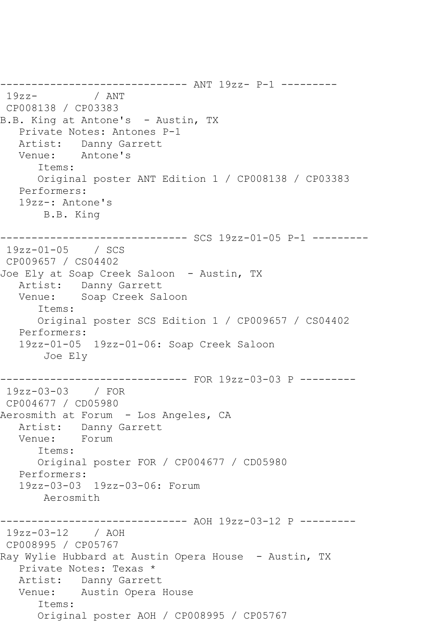-------------------------------- ANT 19zz- P-1 ----------<br>19zz- / ANT / ANT CP008138 / CP03383 B.B. King at Antone's - Austin, TX Private Notes: Antones P-1 Artist: Danny Garrett Venue: Antone's Items: Original poster ANT Edition 1 / CP008138 / CP03383 Performers: 19zz-: Antone's B.B. King ------------------------------ SCS 19zz-01-05 P-1 --------- 19zz-01-05 / SCS CP009657 / CS04402 Joe Ely at Soap Creek Saloon - Austin, TX Artist: Danny Garrett Venue: Soap Creek Saloon Items: Original poster SCS Edition 1 / CP009657 / CS04402 Performers: 19zz-01-05 19zz-01-06: Soap Creek Saloon Joe Ely ------------------------------ FOR 19zz-03-03 P --------- 19zz-03-03 / FOR CP004677 / CD05980 Aerosmith at Forum - Los Angeles, CA Artist: Danny Garrett Venue: Forum Items: Original poster FOR / CP004677 / CD05980 Performers: 19zz-03-03 19zz-03-06: Forum Aerosmith ------------------------------ AOH 19zz-03-12 P --------- 19zz-03-12 / AOH CP008995 / CP05767 Ray Wylie Hubbard at Austin Opera House - Austin, TX Private Notes: Texas \* Artist: Danny Garrett Venue: Austin Opera House Items: Original poster AOH / CP008995 / CP05767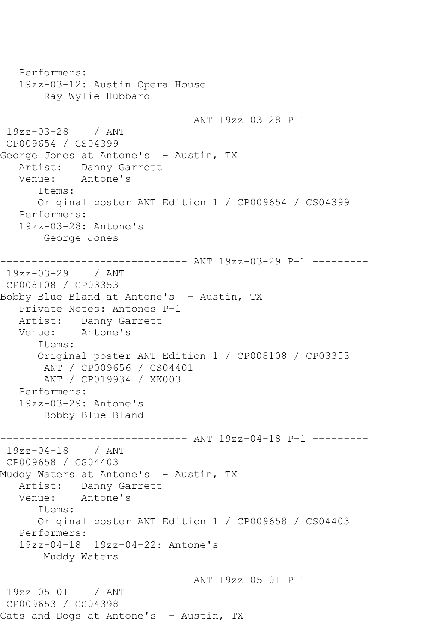```
 Performers:
    19zz-03-12: Austin Opera House
        Ray Wylie Hubbard
------------------------------ ANT 19zz-03-28 P-1 ---------
19zz-03-28 / ANT 
CP009654 / CS04399
George Jones at Antone's - Austin, TX
   Artist: Danny Garrett
   Venue: Antone's
       Items:
       Original poster ANT Edition 1 / CP009654 / CS04399
   Performers:
    19zz-03-28: Antone's
        George Jones
------------------------------ ANT 19zz-03-29 P-1 ---------
19zz-03-29 / ANT 
CP008108 / CP03353
Bobby Blue Bland at Antone's - Austin, TX
    Private Notes: Antones P-1
   Artist: Danny Garrett
   Venue: Antone's
       Items:
       Original poster ANT Edition 1 / CP008108 / CP03353
        ANT / CP009656 / CS04401
        ANT / CP019934 / XK003
    Performers:
    19zz-03-29: Antone's
        Bobby Blue Bland
------------------------------ ANT 19zz-04-18 P-1 ---------
19zz-04-18 / ANT 
CP009658 / CS04403
Muddy Waters at Antone's - Austin, TX
  Artist: Danny Garrett<br>Venue: Antone's
            Antone's
       Items:
       Original poster ANT Edition 1 / CP009658 / CS04403
   Performers:
    19zz-04-18 19zz-04-22: Antone's
        Muddy Waters
                    ------------------------------ ANT 19zz-05-01 P-1 ---------
19zz-05-01 / ANT 
CP009653 / CS04398
Cats and Dogs at Antone's - Austin, TX
```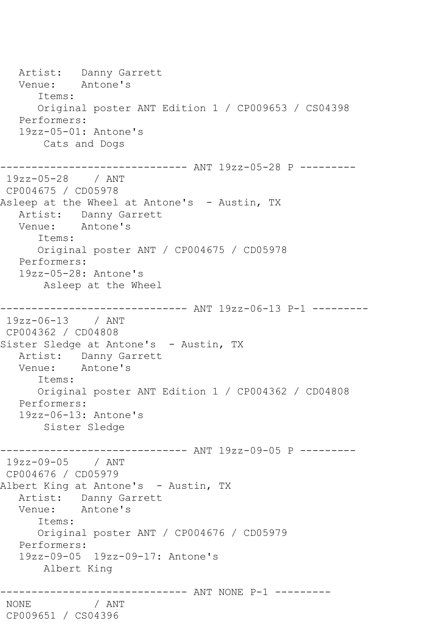Artist: Danny Garrett<br>Venue: Antone's Antone's Items: Original poster ANT Edition 1 / CP009653 / CS04398 Performers: 19zz-05-01: Antone's Cats and Dogs ------------------------------ ANT 19zz-05-28 P --------- 19zz-05-28 / ANT CP004675 / CD05978 Asleep at the Wheel at Antone's - Austin, TX Artist: Danny Garrett Venue: Antone's Items: Original poster ANT / CP004675 / CD05978 Performers: 19zz-05-28: Antone's Asleep at the Wheel ------------------------------ ANT 19zz-06-13 P-1 --------- 19zz-06-13 / ANT CP004362 / CD04808 Sister Sledge at Antone's - Austin, TX Artist: Danny Garrett<br>Venue: Antone's Antone's Items: Original poster ANT Edition 1 / CP004362 / CD04808 Performers: 19zz-06-13: Antone's Sister Sledge ------------------------------ ANT 19zz-09-05 P --------- 19zz-09-05 / ANT CP004676 / CD05979 Albert King at Antone's - Austin, TX Artist: Danny Garrett Venue: Antone's Items: Original poster ANT / CP004676 / CD05979 Performers: 19zz-09-05 19zz-09-17: Antone's Albert King ----------- ANT NONE P-1 ---------NONE / ANT CP009651 / CS04396